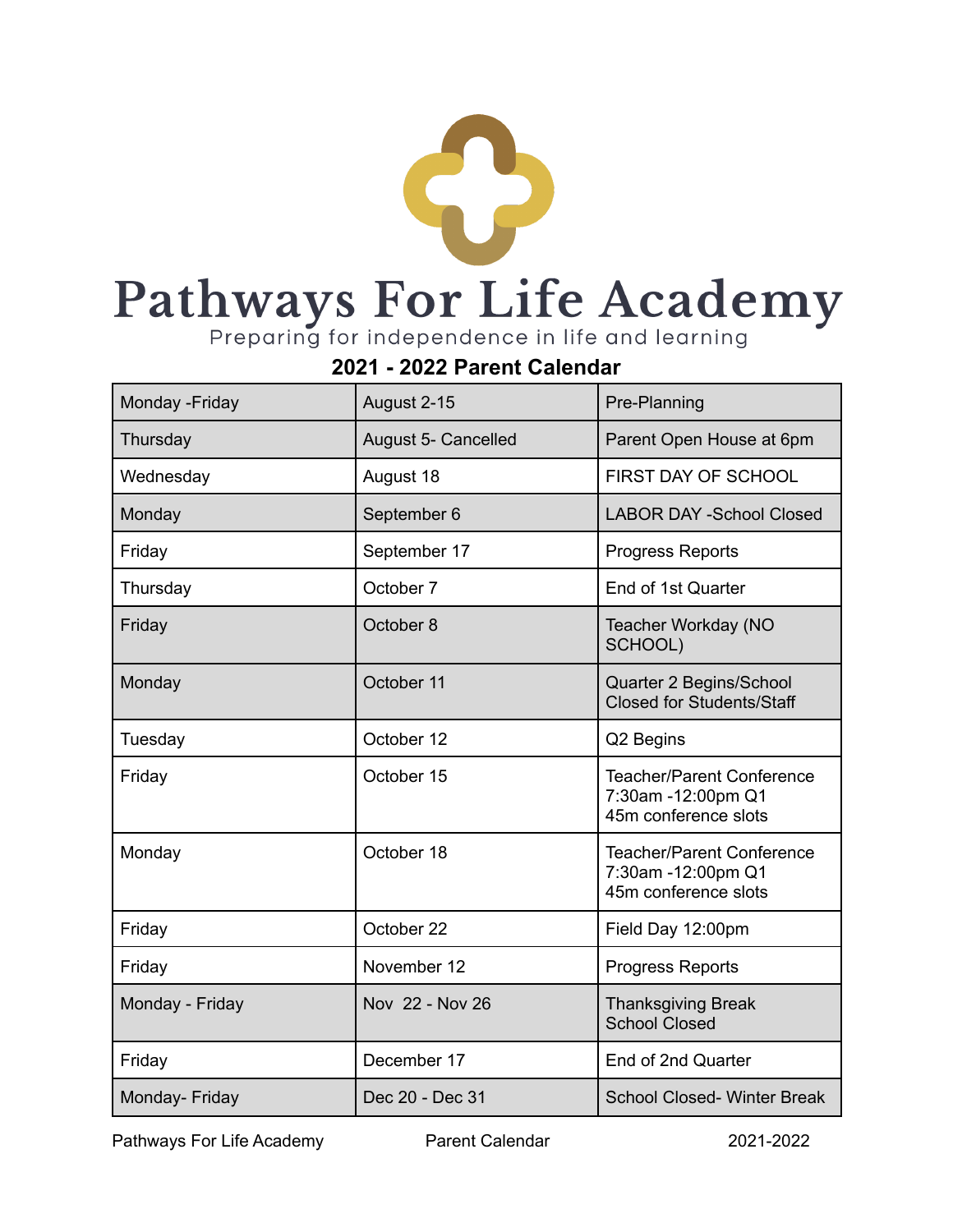

## **2021 - 2022 Parent Calendar**

| Monday - Friday | August 2-15                | Pre-Planning                                                                   |
|-----------------|----------------------------|--------------------------------------------------------------------------------|
| Thursday        | <b>August 5- Cancelled</b> | Parent Open House at 6pm                                                       |
| Wednesday       | August 18                  | FIRST DAY OF SCHOOL                                                            |
| Monday          | September 6                | <b>LABOR DAY -School Closed</b>                                                |
| Friday          | September 17               | <b>Progress Reports</b>                                                        |
| Thursday        | October 7                  | End of 1st Quarter                                                             |
| Friday          | October 8                  | Teacher Workday (NO<br>SCHOOL)                                                 |
| Monday          | October 11                 | Quarter 2 Begins/School<br><b>Closed for Students/Staff</b>                    |
| Tuesday         | October 12                 | Q2 Begins                                                                      |
| Friday          | October 15                 | <b>Teacher/Parent Conference</b><br>7:30am -12:00pm Q1<br>45m conference slots |
| Monday          | October 18                 | <b>Teacher/Parent Conference</b><br>7:30am -12:00pm Q1<br>45m conference slots |
| Friday          | October 22                 | Field Day 12:00pm                                                              |
| Friday          | November 12                | <b>Progress Reports</b>                                                        |
| Monday - Friday | Nov 22 - Nov 26            | <b>Thanksgiving Break</b><br><b>School Closed</b>                              |
| Friday          | December 17                | End of 2nd Quarter                                                             |
| Monday- Friday  | Dec 20 - Dec 31            | <b>School Closed-Winter Break</b>                                              |

Pathways For Life Academy **Parent Calendar** 2021-2022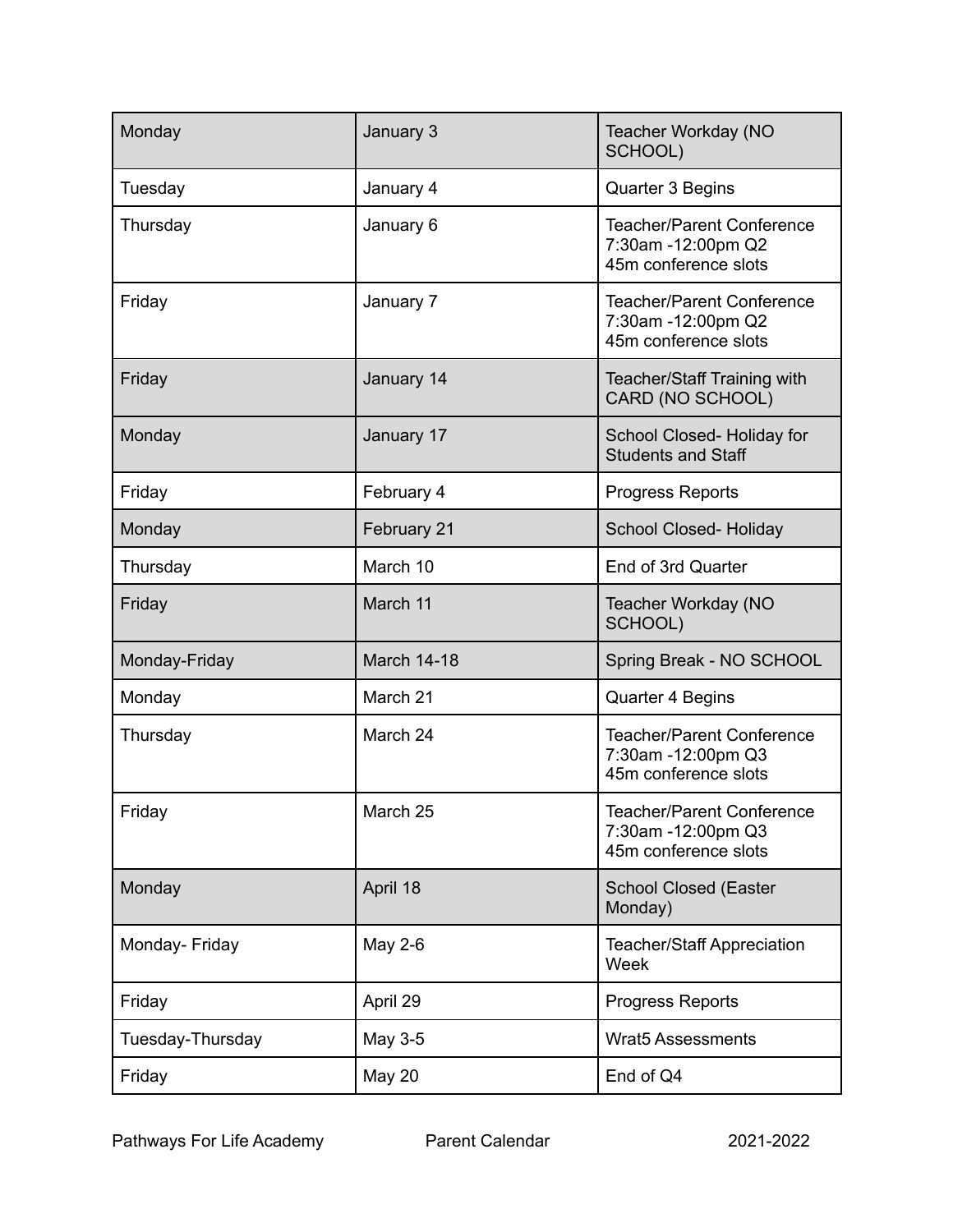| Monday           | January 3          | Teacher Workday (NO<br>SCHOOL)                                                 |
|------------------|--------------------|--------------------------------------------------------------------------------|
| Tuesday          | January 4          | Quarter 3 Begins                                                               |
| Thursday         | January 6          | <b>Teacher/Parent Conference</b><br>7:30am -12:00pm Q2<br>45m conference slots |
| Friday           | January 7          | <b>Teacher/Parent Conference</b><br>7:30am -12:00pm Q2<br>45m conference slots |
| Friday           | January 14         | Teacher/Staff Training with<br>CARD (NO SCHOOL)                                |
| Monday           | January 17         | School Closed-Holiday for<br><b>Students and Staff</b>                         |
| Friday           | February 4         | <b>Progress Reports</b>                                                        |
| Monday           | February 21        | School Closed-Holiday                                                          |
| Thursday         | March 10           | End of 3rd Quarter                                                             |
| Friday           | March 11           | Teacher Workday (NO<br>SCHOOL)                                                 |
| Monday-Friday    | <b>March 14-18</b> | Spring Break - NO SCHOOL                                                       |
| Monday           | March 21           | <b>Quarter 4 Begins</b>                                                        |
| Thursday         | March 24           | <b>Teacher/Parent Conference</b><br>7:30am -12:00pm Q3<br>45m conference slots |
| Friday           | March 25           | Teacher/Parent Conference<br>7:30am -12:00pm Q3<br>45m conference slots        |
| Monday           | April 18           | <b>School Closed (Easter</b><br>Monday)                                        |
| Monday- Friday   | May 2-6            | <b>Teacher/Staff Appreciation</b><br>Week                                      |
| Friday           | April 29           | Progress Reports                                                               |
| Tuesday-Thursday | May 3-5            | <b>Wrat5 Assessments</b>                                                       |
| Friday           | <b>May 20</b>      | End of Q4                                                                      |